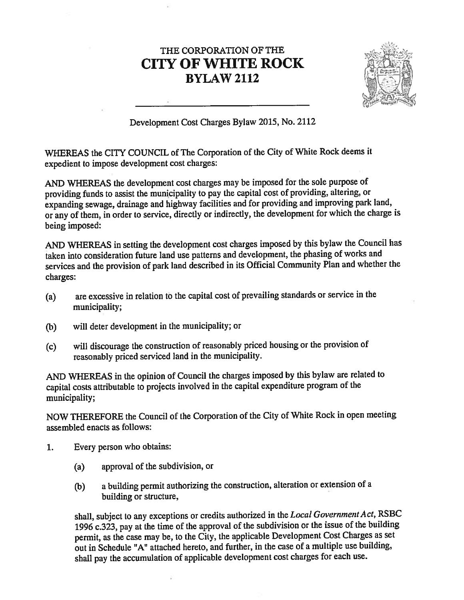## THE CORPORATION OF THE CITY OF WHITE ROCK BYLAW 2112



Development Cost Charges Bylaw 2015, No. <sup>2112</sup>

WHEREAS the CITY COUNCIL of The Corporation of the City of White Rock deems it expedient to impose development cost charges:

AND WHEREAS the development cost charges may be imposed for the sole purpose of providing funds to assist the municipality to pay the capital cost of providing, altering, or expanding sewage, drainage and highway facilities and for providing and improving park land, or any of them, in order to service, directly or indirectly, the development for which the charge is being imposed:

AND WHEREAS in setting the development cost charges imposed by this bylaw the Council has taken into consideration future land use patterns and development, the <sup>p</sup>hasing of works and services and the provision of park land described in its Official Community Plan and whether the charges:

- (a) are excessive in relation to the capital cost of prevailing standards or service in the municipality;
- (b) will deter development in the municipality; or
- (c) will discourage the construction of reasonably priced housing or the provision of reasonably priced serviced land in the municipality.

AND WHEREAS in the opinion of Council the charges imposed by this bylaw are related to capital costs attributable to projects involved in the capital expenditure program of the municipality;

NOW THEREFORE the Council of the Corporation of the City of White Rock in open meeting assembled enacts as follows:

- 1. Every person who obtains:
	- (a) approval of the subdivision, or
	- (b) <sup>a</sup> building permit authorizing the construction, alteration or extension of <sup>a</sup> building or structure,

shall, subject to any exceptions or credits authorized in the Local Government Act, RSBC <sup>1996</sup> c.323, pay at the time of the approva<sup>l</sup> of the subdivision or the issue of the building permit, as the case may be, to the City, the applicable Development Cost Charges as set out in Schedule "A" attached hereto, and further, in the case of <sup>a</sup> multiple use building, shall pay the accumulation of applicable development cost charges for each use.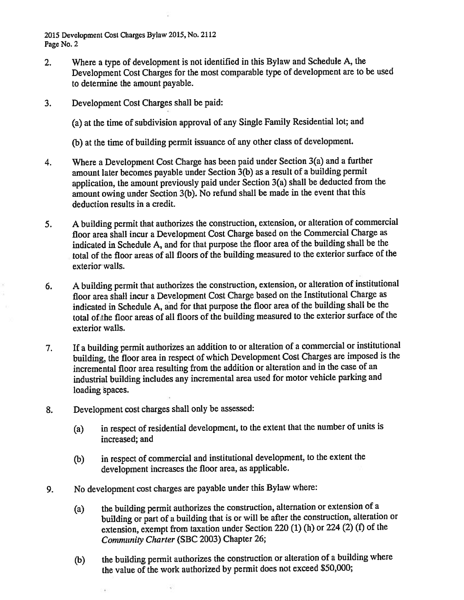2015 Development Cost Charges Bylaw 2015, No. 2112 Page No. 2

- 2. Where <sup>a</sup> type of development is not identified in this Bylaw and Schedule A, the Development Cost Charges for the most comparable type of development are to be used to determine the amount payable.
- 3. Development Cost Charges shall be paid;

(a) at the time of subdivision approva<sup>l</sup> of any Single Family Residential lot; and

(b) at the time of building permit issuance of any other class of development.

- 4. Where <sup>a</sup> Development Cost Charge has been paid under Section 3(a) and <sup>a</sup> further amount later becomes payable under Section 3(b) as <sup>a</sup> result of <sup>a</sup> building permit application, the amount previously paid under Section 3(a) shall be deducted from the amount owing under Section 3(b). No refund shall be made in the event that this deduction results in <sup>a</sup> credit.
- 5. <sup>A</sup> building permit that authorizes the construction, extension, or alteration of commercial floor area shall incur <sup>a</sup> Development Cost Charge based on the Commercial Charge as indicated in Schedule A, and for that purpose the floor area of the building shall be the total of the floor areas of all floors of the building measured to the exterior surface of the exterior walls.
- 6. <sup>A</sup> building permit that authorizes the construction, extension, or alteration of institutional floor area shall incur <sup>a</sup> Development Cost Charge based on the Institutional Charge as indicated in Schedule A, and for that purpose the floor area of the building shall be the total of the floor areas of all floors of the building measured to the exterior surface of the exterior walls.
- 7. If <sup>a</sup> building permit authorizes an addition to or alteration of <sup>a</sup> commercial or institutional building, the floor area in respec<sup>t</sup> of which Development Cost Charges are imposed is the incremental floor area resulting from the addition or alteration and in the case of an industrial building includes any incremental area used for motor vehicle parking and loading spaces.
- 8. Development cost charges shall only be assessed:
	- (a) in respec<sup>t</sup> of residential development, to the extent that the number of units is increased; and
	- (b) in respec<sup>t</sup> of commercial and institutional development, to the extent the development increases the floor area, as applicable.
- 9. No development cost charges are payable under this Bylaw where:
	- (a) the building permit authorizes the construction, alternation or extension of <sup>a</sup> building or par<sup>t</sup> of <sup>a</sup> building that is or will be after the construction, alteration or extension, exemp<sup>t</sup> from taxation under Section <sup>220</sup> (1) (h) or <sup>224</sup> (2) (f) of the Community Charter (SBC 2003) Chapter 26;
	- (b) the building permit authorizes the construction or alteration of <sup>a</sup> building where the value of the work authorized by permit does not exceed \$50,000;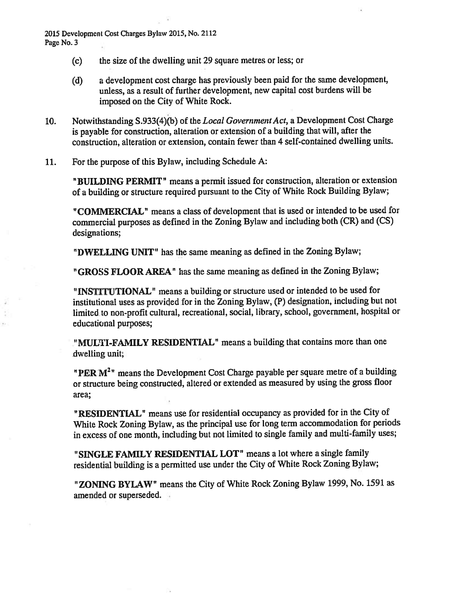2015 Development Cost Charges Bylaw 2015, No. 2112 Page No. 3

- (c) the size of the dwelling unit 29 square metres or less; or
- (d) <sup>a</sup> development cost charge has previously been paid for the same development, unless, as <sup>a</sup> result of further development, new capital cost burdens will be imposed on the City of White Rock.
- 10. Notwithstanding S.933(4)(b) of the Local Government Act, a Development Cost Charge is payable for construction, alteration or extension of <sup>a</sup> building that will, after the construction, alteration or extension, contain fewer than 4 self-contained dwelling units.
- 11. For the purpose of this Bylaw, including Schedule A:

"BUILDING PERMIT" means <sup>a</sup> permit issued for construction, alteration or extension of <sup>a</sup> building or structure required pursuan<sup>t</sup> to the City of White Rock Building Bylaw;

"COMMERCIAL" means <sup>a</sup> class of development that is used or intended to be used for commercial purposes as defined in the Zoning Bylaw and including both (CR) and (CS) designations;

"DWELLING UNIT" has the same meaning as defined in the Zoning Bylaw;

"GROSS FLOOR AREA" has the same meaning as defined in the Zoning Bylaw;

"INSTITUTIONAL" means a building or structure used or intended to be used for institutional uses as provided for in the Zoning Bylaw, (P) designation, including but not limited to non-profit cultural, recreational, social, library, school, government, hospital or educational purposes;

"MULTI-FAMILY RESIDENTIAL" means <sup>a</sup> building that contains more than one dwelling unit;

"PER  $M<sup>2</sup>$ " means the Development Cost Charge payable per square metre of a building or structure being constructed, altered or extended as measured by using the gross floor area;

"RESIDENTIAL" means use for residential occupancy as provided for in the City of White Rock Zoning Bylaw, as the principal use for long term accommodation for periods in excess of one month, including but not limited to single family and multi-family uses;

"SINGLE FAMILY RESIDENTIAL LOT" means <sup>a</sup> lot where <sup>a</sup> single family residential building is <sup>a</sup> permitted use under the City of White Rock Zoning Bylaw;

"ZONING BYLAW" means the City of White Rock Zoning Bylaw 1999, No. <sup>1591</sup> as amended or superseded.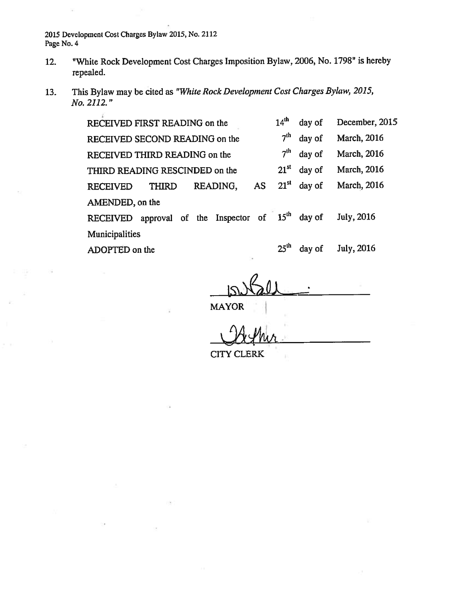2015 Developmeni Cost Charges Bylaw 2015, No. 2112 Page No.4

- 12. "White Rock Development Cost Charges Imposition Bylaw, 2006, No. 1798" is hereby repealed.
- 13. This Bylaw may be cited as "White Rock Development Cost Charges Bylaw, 2015, No. 2112."

| RECEIVED FIRST READING on the                       | $14^{\text{th}}$ | day of        | December, 2015      |
|-----------------------------------------------------|------------------|---------------|---------------------|
| RECEIVED SECOND READING on the                      | 7 <sup>th</sup>  | day of        | <b>March</b> , 2016 |
| RECEIVED THIRD READING on the                       | 7 <sup>th</sup>  | day of        | March, 2016         |
| THIRD READING RESCINDED on the                      | $21^{st}$        | day of        | <b>March</b> , 2016 |
| AS<br>READING,<br><b>THIRD</b><br><b>RECEIVED</b>   |                  | $21st$ day of | <b>March</b> , 2016 |
| AMENDED, on the                                     |                  |               |                     |
| RECEIVED approval of the Inspector of $15th$ day of |                  |               | July, 2016          |
| Municipalities                                      |                  |               |                     |
| ADOPTED on the                                      | 25 <sup>th</sup> | day of        | July, 2016          |

MAYOR

CITY CLERK